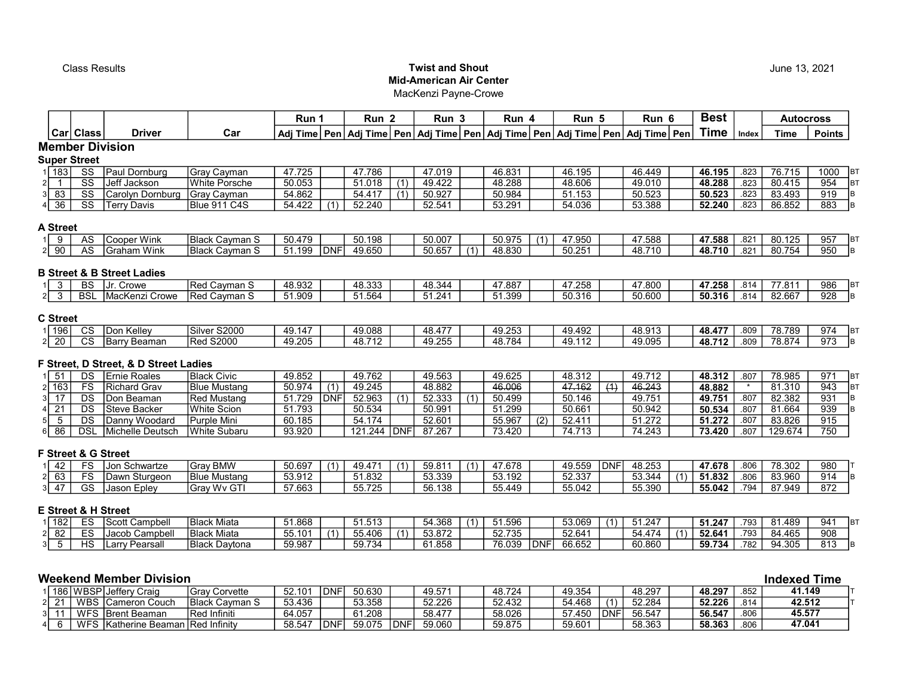## **Class Results** Class **Results Class Results** Mid-American Air Center

MacKenzi Payne-Crowe

|                                  |                        |                                       |                       | Run 1      |             | Run <sub>2</sub> |             | Run <sub>3</sub>                                                                           |     | Run 4  |            | Run 5      |                  | Run 6  |                  | <b>Best</b> |         | <b>Autocross</b>    |                        |
|----------------------------------|------------------------|---------------------------------------|-----------------------|------------|-------------|------------------|-------------|--------------------------------------------------------------------------------------------|-----|--------|------------|------------|------------------|--------|------------------|-------------|---------|---------------------|------------------------|
|                                  | Car Class              | <b>Driver</b>                         | Car                   |            |             |                  |             | Adj Time Pen Adj Time Pen Adj Time Pen Adj Time Pen Adj Time Pen Adj Time Pen Adj Time Pen |     |        |            |            |                  |        |                  | <b>Time</b> | Index   | <b>Time</b>         | <b>Points</b>          |
|                                  |                        | <b>Member Division</b>                |                       |            |             |                  |             |                                                                                            |     |        |            |            |                  |        |                  |             |         |                     |                        |
|                                  | <b>Super Street</b>    |                                       |                       |            |             |                  |             |                                                                                            |     |        |            |            |                  |        |                  |             |         |                     |                        |
| 1 183                            | SS                     | Paul Dornburg                         | Gray Cayman           | 47.725     |             | 47.786           |             | 47.019                                                                                     |     | 46.831 |            | 46.195     |                  | 46.449 |                  | 46.195      | .823    | 76.715              | 1000<br><b>BT</b>      |
| 2 <br>$\overline{1}$             | $\overline{\text{ss}}$ | Jeff Jackson                          | <b>White Porsche</b>  | 50.053     |             | 51.018           | (1)         | 49.422                                                                                     |     | 48.288 |            | 48.606     |                  | 49.010 |                  | 48.288      | .823    | 80.415              | 954<br><b>BT</b>       |
| 83<br>31                         | SS                     | Carolyn Dornburg                      | Gray Cayman           | 54.862     |             | 54.417           | (1)         | 50.927                                                                                     |     | 50.984 |            | 51.153     |                  | 50.523 |                  | 50.523      | .823    | 83.493              | B<br>919               |
| $4 \overline{36}$                | $\overline{\text{ss}}$ | <b>Terry Davis</b>                    | Blue 911 C4S          | 54.422     | (1)         | 52.240           |             | 52.541                                                                                     |     | 53.291 |            | 54.036     |                  | 53.388 |                  | 52.240      | .823    | 86.852              | lв<br>883              |
| A Street                         |                        |                                       |                       |            |             |                  |             |                                                                                            |     |        |            |            |                  |        |                  |             |         |                     |                        |
| 9<br>1 I                         | AS                     | <b>Cooper Wink</b>                    | <b>Black Cayman S</b> | 50.479     |             | 50.198           |             | 50.007                                                                                     |     | 50.975 |            | 47.950     |                  | 47.588 |                  | 47.588      | .821    | 80.125              | 957<br><b>B</b>        |
| $2 \mid 90$                      | AS                     | <b>Graham Wink</b>                    | Black Cayman S        | 51.199     | <b>IDNF</b> | 49.650           |             | 50.657                                                                                     | (1) | 48.830 |            | 50.251     |                  | 48.710 |                  | 48.710      | .821    | 80.754              | 950<br><b>B</b>        |
|                                  |                        |                                       |                       |            |             |                  |             |                                                                                            |     |        |            |            |                  |        |                  |             |         |                     |                        |
|                                  |                        | <b>B Street &amp; B Street Ladies</b> |                       |            |             |                  |             |                                                                                            |     |        |            |            |                  |        |                  |             |         |                     |                        |
| $\overline{3}$                   | <b>BS</b>              | Jr. Crowe                             | <b>Red Cayman S</b>   | 48.932     |             | 48.333           |             | 48.344                                                                                     |     | 47.887 |            | 47.258     |                  | 47.800 |                  | 47.258      | .814    | 77.811              | 986<br><b>BT</b>       |
| $\overline{\mathbf{3}}$<br>2     | <b>BSL</b>             | MacKenzi Crowe                        | Red Cayman S          | 51.909     |             | 51.564           |             | 51.241                                                                                     |     | 51.399 |            | 50.316     |                  | 50.600 |                  | 50.316      | .814    | 82.667              | 928<br>B               |
|                                  |                        |                                       |                       |            |             |                  |             |                                                                                            |     |        |            |            |                  |        |                  |             |         |                     |                        |
| <b>C</b> Street                  |                        |                                       |                       |            |             |                  |             |                                                                                            |     |        |            |            |                  |        |                  |             |         |                     |                        |
| $1 \overline{)196}$              | $\overline{\text{cs}}$ | Don Kelley                            | Silver S2000          | 49.147     |             | 49.088           |             | 48.477                                                                                     |     | 49.253 |            | 49.492     |                  | 48.913 |                  | 48.477      | .809    | 78.789              | 974<br>BT              |
| $2\sqrt{20}$                     | $\overline{\text{cs}}$ | <b>Barry Beaman</b>                   | <b>Red S2000</b>      | 49.205     |             | 48.712           |             | 49.255                                                                                     |     | 48.784 |            | 49.112     |                  | 49.095 |                  | 48.712      | .809    | 78.874              | $\overline{973}$<br>B  |
|                                  |                        |                                       |                       |            |             |                  |             |                                                                                            |     |        |            |            |                  |        |                  |             |         |                     |                        |
|                                  |                        | F Street, D Street, & D Street Ladies |                       |            |             |                  |             |                                                                                            |     |        |            |            |                  |        |                  |             |         |                     |                        |
| 51                               | DS                     | <b>Ernie Roales</b>                   | <b>Black Civic</b>    | 49.852     |             | 49.762           |             | 49.563                                                                                     |     | 49.625 |            | 48.312     |                  | 49.712 |                  | 48.312      | .807    | 78.985              | 971<br><b>BT</b>       |
| $2\sqrt{163}$                    | FS                     | <b>Richard Grav</b>                   | <b>Blue Mustang</b>   | 50.974     | (1)         | 49.245           |             | 48.882                                                                                     |     | 46.006 |            | 47.162     | $\overline{(4)}$ | 46.243 |                  | 48.882      | $\star$ | 81.310              | 1вт<br>943             |
| 17<br>3I                         | DS                     | Don Beaman                            | Red Mustang           | 51.729     | DNF         | 52.963           | (1)         | 52.333                                                                                     | (1) | 50.499 |            | 50.146     |                  | 49.751 |                  | 49.751      | .807    | 82.382              | 931<br>B               |
| $\overline{21}$<br>4             | DS                     | <b>Steve Backer</b>                   | <b>White Scion</b>    | 51.793     |             | 50.534           |             | 50.991                                                                                     |     | 51.299 |            | 50.661     |                  | 50.942 |                  | 50.534      | .807    | 81.664              | 939<br>B               |
| 5 <sup>1</sup><br>5              | DS                     | Danny Woodard                         | Purple Mini           | 60.185     |             | 54.174           |             | 52.601                                                                                     |     | 55.967 | (2)        | 52.411     |                  | 51.272 |                  | 51.272      | .807    | 83.826              | 915                    |
| 86<br>6                          | $\overline{DSL}$       | Michelle Deutsch                      | <b>White Subaru</b>   | 93.920     |             | 121.244 DNF      |             | 87.267                                                                                     |     | 73.420 |            | 74.713     |                  | 74.243 |                  | 73.420      | .807    | 129.674             | 750                    |
|                                  |                        | F Street & G Street                   |                       |            |             |                  |             |                                                                                            |     |        |            |            |                  |        |                  |             |         |                     |                        |
| 42                               | <b>FS</b>              | Jon Schwartze                         | Gray BMW              | 50.697     | (1)         | 49.471           | (1)         | 59.811                                                                                     | (1) | 47.678 |            | 49.559 DNF |                  | 48.253 |                  | 47.678      | .806    | 78.302              | 980                    |
| $2 \mid 63$                      | FS                     | Dawn Sturgeon                         | <b>Blue Mustang</b>   | 53.912     |             | 51.832           |             | 53.339                                                                                     |     | 53.192 |            | 52.337     |                  | 53.344 | (1)              | 51.832      | .806    | 83.960              | $\overline{914}$<br>lв |
| $3 \overline{)47}$               | GS                     | Jason Epley                           | Gray Wv GTI           | 57.663     |             | 55.725           |             | 56.138                                                                                     |     | 55.449 |            | 55.042     |                  | 55.390 |                  | 55.042      | .794    | 87.949              | 872                    |
|                                  |                        |                                       |                       |            |             |                  |             |                                                                                            |     |        |            |            |                  |        |                  |             |         |                     |                        |
|                                  |                        | <b>E Street &amp; H Street</b>        |                       |            |             |                  |             |                                                                                            |     |        |            |            |                  |        |                  |             |         |                     |                        |
| 182                              | ES                     | Scott Campbell                        | IBlack Miata          | 51.868     |             | 51.513           |             | 54.368                                                                                     | (1) | 51.596 |            | 53.069     | (1)              | 51.247 |                  | 51.247      | .793    | 81.489              | 941<br>BT              |
| 82<br>2                          | $\overline{ES}$        | Jacob Campbell                        | <b>Black Miata</b>    | 55.101     | (1)         | 55.406           | (1)         | 53.872                                                                                     |     | 52.735 |            | 52.641     |                  | 54.474 | $\overline{(1)}$ | 52.641      | .793    | 84.465              | $\overline{908}$       |
| $\overline{5}$<br>3 <sup>1</sup> | $\overline{HS}$        | Larry Pearsall                        | Black Daytona         | 59.987     |             | 59.734           |             | 61.858                                                                                     |     | 76.039 | <b>DNF</b> | 66.652     |                  | 60.860 |                  | 59.734      | .782    | 94.305              | 813<br><b>B</b>        |
|                                  |                        |                                       |                       |            |             |                  |             |                                                                                            |     |        |            |            |                  |        |                  |             |         |                     |                        |
|                                  |                        |                                       |                       |            |             |                  |             |                                                                                            |     |        |            |            |                  |        |                  |             |         |                     |                        |
|                                  |                        | <b>Weekend Member Division</b>        |                       |            |             |                  |             |                                                                                            |     |        |            |            |                  |        |                  |             |         | <b>Indexed Time</b> |                        |
|                                  |                        | 186   WBSP   Jeffery Craig            | <b>Gray Corvette</b>  | 52.101     | <b>IDNF</b> | 50.630           |             | 49.571                                                                                     |     | 48.724 |            | 49.354     |                  | 48.297 |                  | 48.297      | .852    | 41.149              |                        |
| 21<br>2 <sup>1</sup>             | WBS                    | <b>Cameron Couch</b>                  | <b>Black Cayman S</b> | 53.436     |             | 53.358           |             | 52.226                                                                                     |     | 52.432 |            | 54.468     | (1)              | 52.284 |                  | 52.226      | .814    |                     | 42.512                 |
| 3I<br>11                         |                        | WFS Brent Beaman                      | Red Infiniti          | 64.057     |             | 61.208           |             | 58.477                                                                                     |     | 58.026 |            | 57.450     | DNF              | 56.547 |                  | 56.547      | .806    | 45.577              |                        |
| 6<br>4 <sup>1</sup>              |                        | WFS Katherine Beaman Red Infinity     |                       | 58.547 DNF |             | 59.075           | <b>IDNF</b> | 59.060                                                                                     |     | 59.875 |            | 59.601     |                  | 58.363 |                  | 58.363      | .806    | 47.041              |                        |

June 13, 2021